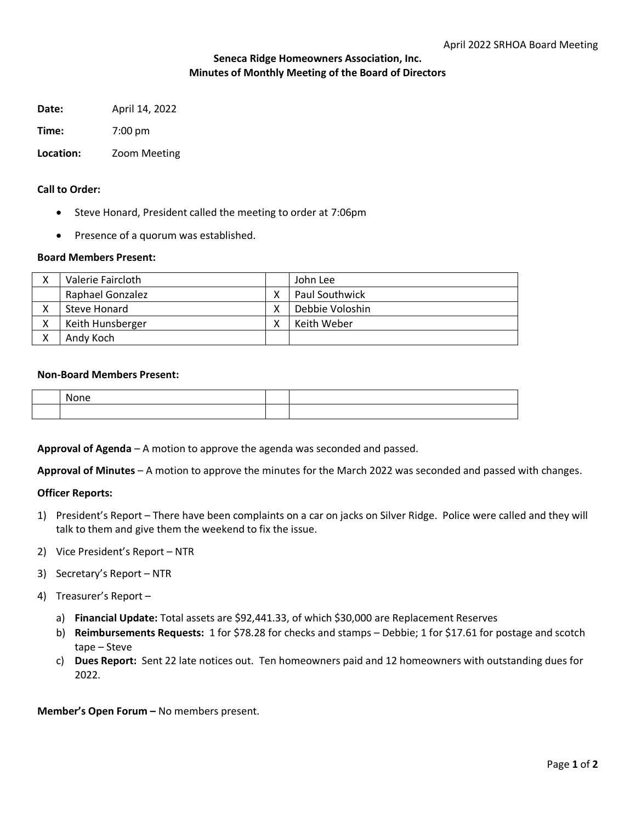# **Seneca Ridge Homeowners Association, Inc. Minutes of Monthly Meeting of the Board of Directors**

**Date:** April 14, 2022

**Time:** 7:00 pm

## **Location:** Zoom Meeting

### **Call to Order:**

- Steve Honard, President called the meeting to order at 7:06pm
- Presence of a quorum was established.

## **Board Members Present:**

| Valerie Faircloth       |   | John Lee        |
|-------------------------|---|-----------------|
| <b>Raphael Gonzalez</b> | v | Paul Southwick  |
| Steve Honard            |   | Debbie Voloshin |
| Keith Hunsberger        |   | Keith Weber     |
| Andy Koch               |   |                 |

## **Non-Board Members Present:**

| N<br>.<br>,,,, |  |
|----------------|--|
|                |  |

**Approval of Agenda** – A motion to approve the agenda was seconded and passed.

**Approval of Minutes** – A motion to approve the minutes for the March 2022 was seconded and passed with changes.

## **Officer Reports:**

- 1) President's Report There have been complaints on a car on jacks on Silver Ridge. Police were called and they will talk to them and give them the weekend to fix the issue.
- 2) Vice President's Report NTR
- 3) Secretary's Report NTR
- 4) Treasurer's Report
	- a) **Financial Update:** Total assets are \$92,441.33, of which \$30,000 are Replacement Reserves
	- b) **Reimbursements Requests:** 1 for \$78.28 for checks and stamps Debbie; 1 for \$17.61 for postage and scotch tape – Steve
	- c) **Dues Report:** Sent 22 late notices out. Ten homeowners paid and 12 homeowners with outstanding dues for 2022.

**Member's Open Forum –** No members present.